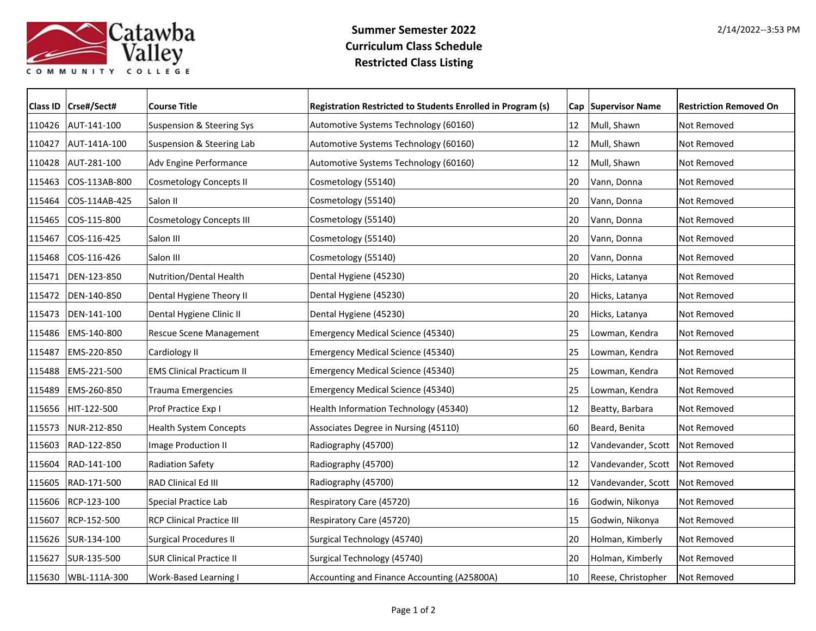

## **Summer Semester 2022 Curriculum Class Schedule Restricted Class Listing**

|        | Class ID   Crse#/Sect# | <b>Course Title</b>                  | Registration Restricted to Students Enrolled in Program (s) |    | Cap Supervisor Name | <b>Restriction Removed On</b> |
|--------|------------------------|--------------------------------------|-------------------------------------------------------------|----|---------------------|-------------------------------|
|        | 110426 AUT-141-100     | Suspension & Steering Sys            | Automotive Systems Technology (60160)                       | 12 | Mull, Shawn         | Not Removed                   |
|        | 110427 AUT-141A-100    | <b>Suspension &amp; Steering Lab</b> | Automotive Systems Technology (60160)                       | 12 | Mull, Shawn         | Not Removed                   |
| 110428 | AUT-281-100            | Adv Engine Performance               | Automotive Systems Technology (60160)                       | 12 | Mull, Shawn         | Not Removed                   |
| 115463 | COS-113AB-800          | <b>Cosmetology Concepts II</b>       | Cosmetology (55140)                                         | 20 | Vann, Donna         | Not Removed                   |
| 115464 | COS-114AB-425          | Salon II                             | Cosmetology (55140)                                         | 20 | Vann, Donna         | Not Removed                   |
| 115465 | COS-115-800            | <b>Cosmetology Concepts III</b>      | Cosmetology (55140)                                         | 20 | Vann, Donna         | Not Removed                   |
| 115467 | COS-116-425            | Salon III                            | Cosmetology (55140)                                         | 20 | Vann, Donna         | Not Removed                   |
| 115468 | $ COS-116-426$         | Salon III                            | Cosmetology (55140)                                         | 20 | Vann, Donna         | Not Removed                   |
| 115471 | DEN-123-850            | Nutrition/Dental Health              | Dental Hygiene (45230)                                      | 20 | Hicks, Latanya      | Not Removed                   |
| 115472 | DEN-140-850            | Dental Hygiene Theory II             | Dental Hygiene (45230)                                      | 20 | Hicks, Latanya      | Not Removed                   |
| 115473 | DEN-141-100            | Dental Hygiene Clinic II             | Dental Hygiene (45230)                                      | 20 | Hicks, Latanya      | Not Removed                   |
| 115486 | EMS-140-800            | Rescue Scene Management              | Emergency Medical Science (45340)                           | 25 | Lowman, Kendra      | Not Removed                   |
| 115487 | EMS-220-850            | Cardiology II                        | Emergency Medical Science (45340)                           | 25 | Lowman, Kendra      | Not Removed                   |
| 115488 | EMS-221-500            | <b>EMS Clinical Practicum II</b>     | Emergency Medical Science (45340)                           | 25 | Lowman, Kendra      | Not Removed                   |
| 115489 | EMS-260-850            | <b>Trauma Emergencies</b>            | <b>Emergency Medical Science (45340)</b>                    | 25 | Lowman, Kendra      | Not Removed                   |
|        | 115656 HIT-122-500     | Prof Practice Exp I                  | Health Information Technology (45340)                       | 12 | Beatty, Barbara     | Not Removed                   |
| 115573 | NUR-212-850            | <b>Health System Concepts</b>        | Associates Degree in Nursing (45110)                        | 60 | Beard, Benita       | Not Removed                   |
| 115603 | RAD-122-850            | Image Production II                  | Radiography (45700)                                         | 12 | Vandevander, Scott  | Not Removed                   |
| 115604 | RAD-141-100            | <b>Radiation Safety</b>              | Radiography (45700)                                         | 12 | Vandevander, Scott  | Not Removed                   |
|        | 115605   RAD-171-500   | RAD Clinical Ed III                  | Radiography (45700)                                         | 12 | Vandevander, Scott  | Not Removed                   |
|        | 115606 RCP-123-100     | Special Practice Lab                 | Respiratory Care (45720)                                    | 16 | Godwin, Nikonya     | Not Removed                   |
| 115607 | RCP-152-500            | <b>RCP Clinical Practice III</b>     | Respiratory Care (45720)                                    | 15 | Godwin, Nikonya     | Not Removed                   |
|        | 115626 SUR-134-100     | <b>Surgical Procedures II</b>        | Surgical Technology (45740)                                 | 20 | Holman, Kimberly    | Not Removed                   |
| 115627 | SUR-135-500            | <b>SUR Clinical Practice II</b>      | Surgical Technology (45740)                                 | 20 | Holman, Kimberly    | Not Removed                   |
|        | 115630   WBL-111A-300  | Work-Based Learning I                | Accounting and Finance Accounting (A25800A)                 | 10 | Reese, Christopher  | Not Removed                   |